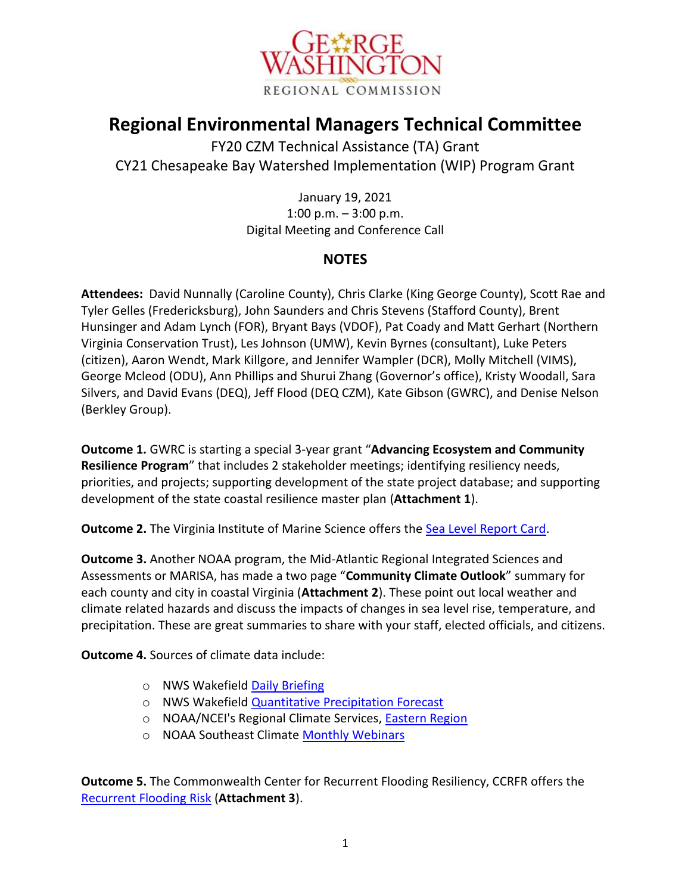

## **Regional Environmental Managers Technical Committee**

FY20 CZM Technical Assistance (TA) Grant CY21 Chesapeake Bay Watershed Implementation (WIP) Program Grant

> January 19, 2021 1:00 p.m. – 3:00 p.m. Digital Meeting and Conference Call

## **NOTES**

**Attendees:** David Nunnally (Caroline County), Chris Clarke (King George County), Scott Rae and Tyler Gelles (Fredericksburg), John Saunders and Chris Stevens (Stafford County), Brent Hunsinger and Adam Lynch (FOR), Bryant Bays (VDOF), Pat Coady and Matt Gerhart (Northern Virginia Conservation Trust), Les Johnson (UMW), Kevin Byrnes (consultant), Luke Peters (citizen), Aaron Wendt, Mark Killgore, and Jennifer Wampler (DCR), Molly Mitchell (VIMS), George Mcleod (ODU), Ann Phillips and Shurui Zhang (Governor's office), Kristy Woodall, Sara Silvers, and David Evans (DEQ), Jeff Flood (DEQ CZM), Kate Gibson (GWRC), and Denise Nelson (Berkley Group).

**Outcome 1.** GWRC is starting a special 3-year grant "**Advancing Ecosystem and Community Resilience Program**" that includes 2 stakeholder meetings; identifying resiliency needs, priorities, and projects; supporting development of the state project database; and supporting development of the state coastal resilience master plan (**Attachment 1**).

**Outcome 2.** The Virginia Institute of Marine Science offers the [Sea Level Report Card.](https://www.vims.edu/research/products/slrc/localities/nova/index.php)

**Outcome 3.** Another NOAA program, the Mid-Atlantic Regional Integrated Sciences and Assessments or MARISA, has made a two page "**Community Climate Outlook**" summary for each county and city in coastal Virginia (**Attachment 2**). These point out local weather and climate related hazards and discuss the impacts of changes in sea level rise, temperature, and precipitation. These are great summaries to share with your staff, elected officials, and citizens.

**Outcome 4.** Sources of climate data include:

- o NWS Wakefield [Daily Briefing](https://www.weather.gov/akq/Brief)
- o NWS Wakefield [Quantitative Precipitation Forecast](https://www.weather.gov/akq/RainandSnow)
- o NOAA/NCEI's Regional Climate Services, **Eastern Region**
- o NOAA Southeast Climate [Monthly Webinars](https://register.gotowebinar.com/rt/1287144793876293389)

**Outcome 5.** The Commonwealth Center for Recurrent Flooding Resiliency, CCRFR offers the [Recurrent Flooding Risk](https://www.floodingresiliency.org/futurerisk/) (**Attachment 3**).